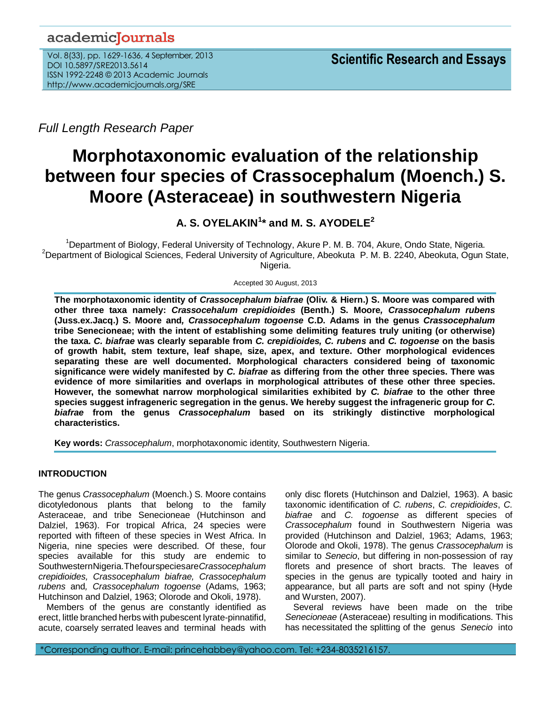# academicJournals

Vol. 8(33), pp. 1629-1636, 4 September, 2013 DOI 10.5897/SRE2013.5614 ISSN 1992-2248 © 2013 Academic Journals http://www.academicjournals.org/SRE

*Full Length Research Paper*

# **Morphotaxonomic evaluation of the relationship between four species of Crassocephalum (Moench.) S. Moore (Asteraceae) in southwestern Nigeria**

**A. S. OYELAKIN<sup>1</sup> \* and M. S. AYODELE<sup>2</sup>**

<sup>1</sup>Department of Biology, Federal University of Technology, Akure P. M. B. 704, Akure, Ondo State, Nigeria. <sup>2</sup>Department of Biological Sciences, Federal University of Agriculture, Abeokuta P. M. B. 2240, Abeokuta, Ogun State, Nigeria.

Accepted 30 August, 2013

**The morphotaxonomic identity of** *Crassocephalum biafrae* **(Oliv. & Hiern.) S. Moore was compared with other three taxa namely:** *Crassocehalum crepidioides* **(Benth.) S. Moore***, Crassocephalum rubens*  **(Juss.ex.Jacq.) S. Moore and***, Crassocephalum togoense* **C.D. Adams in the genus** *Crassocephalum* **tribe Senecioneae; with the intent of establishing some delimiting features truly uniting (or otherwise) the taxa.** *C. biafrae* **was clearly separable from** *C. crepidioides, C. rubens* **and** *C. togoense* **on the basis of growth habit, stem texture, leaf shape, size, apex, and texture. Other morphological evidences separating these are well documented. Morphological characters considered being of taxonomic significance were widely manifested by** *C. biafrae* **as differing from the other three species. There was evidence of more similarities and overlaps in morphological attributes of these other three species. However, the somewhat narrow morphological similarities exhibited by** *C. biafrae* **to the other three species suggest infrageneric segregation in the genus. We hereby suggest the infrageneric group for** *C. biafrae* **from the genus** *Crassocephalum* **based on its strikingly distinctive morphological characteristics.**

**Key words:** *Crassocephalum*, morphotaxonomic identity, Southwestern Nigeria.

# **INTRODUCTION**

The genus *Crassocephalum* (Moench.) S. Moore contains dicotyledonous plants that belong to the family Asteraceae, and tribe Senecioneae (Hutchinson and Dalziel, 1963). For tropical Africa, 24 species were reported with fifteen of these species in West Africa. In Nigeria, nine species were described. Of these, four species available for this study are endemic to SouthwesternNigeria.Thefourspeciesare*Crassocephalum crepidioides, Crassocephalum biafrae, Crassocephalum rubens* and*, Crassocephalum togoense* (Adams, 1963; Hutchinson and Dalziel, 1963; Olorode and Okoli, 1978).

Members of the genus are constantly identified as erect, little branched herbs with pubescent lyrate-pinnatifid, acute, coarsely serrated leaves and terminal heads with

only disc florets (Hutchinson and Dalziel, 1963). A basic taxonomic identification of *C. rubens*, *C. crepidioides*, *C. biafrae* and *C. togoense* as different species of *Crassocephalum* found in Southwestern Nigeria was provided (Hutchinson and Dalziel, 1963; Adams, 1963; Olorode and Okoli, 1978). The genus *Crassocephalum* is similar to *Senecio*, but differing in non-possession of ray florets and presence of short bracts. The leaves of species in the genus are typically tooted and hairy in appearance, but all parts are soft and not spiny (Hyde and Wursten, 2007).

Several reviews have been made on the tribe *Senecioneae* (Asteraceae) resulting in modifications. This has necessitated the splitting of the genus *Senecio* into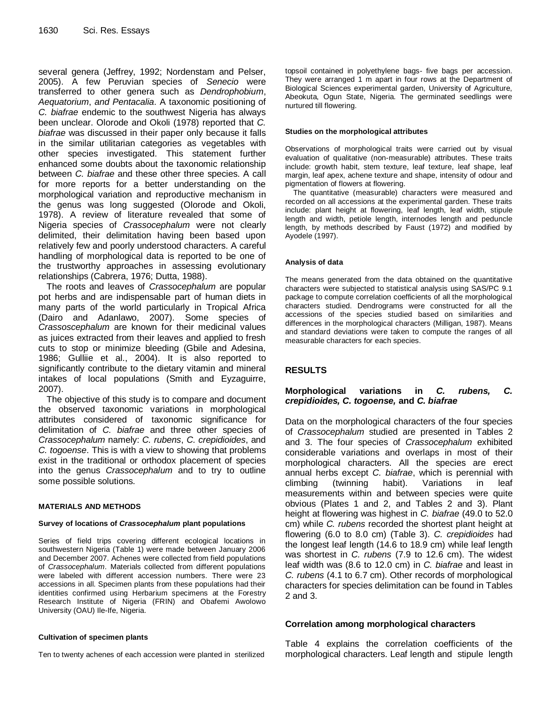several genera (Jeffrey, 1992; Nordenstam and Pelser, 2005). A few Peruvian species of *Senecio* were transferred to other genera such as *Dendrophobium*, *Aequatorium*, *and Pentacalia*. A taxonomic positioning of *C. biafrae* endemic to the southwest Nigeria has always been unclear. Olorode and Okoli (1978) reported that *C. biafrae* was discussed in their paper only because it falls in the similar utilitarian categories as vegetables with other species investigated. This statement further enhanced some doubts about the taxonomic relationship between *C. biafrae* and these other three species. A call for more reports for a better understanding on the morphological variation and reproductive mechanism in the genus was long suggested (Olorode and Okoli, 1978). A review of literature revealed that some of Nigeria species of *Crassocephalum* were not clearly delimited, their delimitation having been based upon relatively few and poorly understood characters. A careful handling of morphological data is reported to be one of the trustworthy approaches in assessing evolutionary relationships (Cabrera, 1976; Dutta, 1988).

The roots and leaves of *Crassocephalum* are popular pot herbs and are indispensable part of human diets in many parts of the world particularly in Tropical Africa (Dairo and Adanlawo, 2007). Some species of *Crassoscephalum* are known for their medicinal values as juices extracted from their leaves and applied to fresh cuts to stop or minimize bleeding (Gbile and Adesina, 1986; Gulliie et al., 2004). It is also reported to significantly contribute to the dietary vitamin and mineral intakes of local populations (Smith and Eyzaguirre, 2007).

The objective of this study is to compare and document the observed taxonomic variations in morphological attributes considered of taxonomic significance for delimitation of *C. biafrae* and three other species of *Crassocephalum* namely: *C. rubens*, *C. crepidioides*, and *C. togoense*. This is with a view to showing that problems exist in the traditional or orthodox placement of species into the genus *Crassocephalum* and to try to outline some possible solutions.

# **MATERIALS AND METHODS**

#### **Survey of locations of** *Crassocephalum* **plant populations**

Series of field trips covering different ecological locations in southwestern Nigeria (Table 1) were made between January 2006 and December 2007. Achenes were collected from field populations of *Crassocephalum*. Materials collected from different populations were labeled with different accession numbers. There were 23 accessions in all. Specimen plants from these populations had their identities confirmed using Herbarium specimens at the Forestry Research Institute of Nigeria (FRIN) and Obafemi Awolowo University (OAU) Ile-Ife, Nigeria.

#### **Cultivation of specimen plants**

Ten to twenty achenes of each accession were planted in sterilized

topsoil contained in polyethylene bags- five bags per accession. They were arranged 1 m apart in four rows at the Department of Biological Sciences experimental garden, University of Agriculture, Abeokuta, Ogun State, Nigeria. The germinated seedlings were nurtured till flowering.

#### **Studies on the morphological attributes**

Observations of morphological traits were carried out by visual evaluation of qualitative (non-measurable) attributes. These traits include: growth habit, stem texture, leaf texture, leaf shape, leaf margin, leaf apex, achene texture and shape, intensity of odour and pigmentation of flowers at flowering.

The quantitative (measurable) characters were measured and recorded on all accessions at the experimental garden. These traits include: plant height at flowering, leaf length, leaf width, stipule length and width, petiole length, internodes length and peduncle length, by methods described by Faust (1972) and modified by Ayodele (1997).

#### **Analysis of data**

The means generated from the data obtained on the quantitative characters were subjected to statistical analysis using SAS/PC 9.1 package to compute correlation coefficients of all the morphological characters studied. Dendrograms were constructed for all the accessions of the species studied based on similarities and differences in the morphological characters (Milligan, 1987). Means and standard deviations were taken to compute the ranges of all measurable characters for each species.

# **RESULTS**

# **Morphological variations in** *C. rubens, C. crepidioides, C. togoense,* **and** *C. biafrae*

Data on the morphological characters of the four species of *Crassocephalum* studied are presented in Tables 2 and 3. The four species of *Crassocephalum* exhibited considerable variations and overlaps in most of their morphological characters. All the species are erect annual herbs except *C. biafrae*, which is perennial with climbing (twinning habit). Variations in leaf measurements within and between species were quite obvious (Plates 1 and 2, and Tables 2 and 3). Plant height at flowering was highest in *C. biafrae* (49.0 to 52.0 cm) while *C. rubens* recorded the shortest plant height at flowering (6.0 to 8.0 cm) (Table 3). *C. crepidioides* had the longest leaf length (14.6 to 18.9 cm) while leaf length was shortest in *C. rubens* (7.9 to 12.6 cm). The widest leaf width was (8.6 to 12.0 cm) in *C. biafrae* and least in *C. rubens* (4.1 to 6.7 cm). Other records of morphological characters for species delimitation can be found in Tables 2 and 3.

# **Correlation among morphological characters**

Table 4 explains the correlation coefficients of the morphological characters. Leaf length and stipule length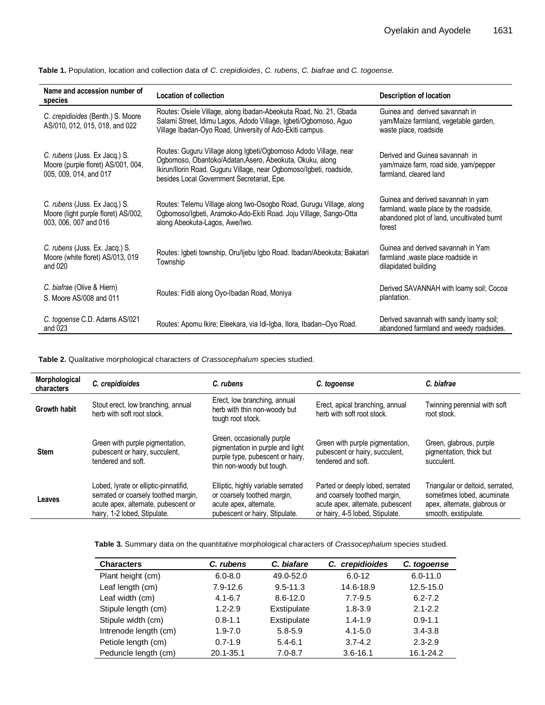| Name and accession number of<br>species                                                       | Location of collection                                                                                                                                                                                                                            | Description of location                                                                                                              |  |
|-----------------------------------------------------------------------------------------------|---------------------------------------------------------------------------------------------------------------------------------------------------------------------------------------------------------------------------------------------------|--------------------------------------------------------------------------------------------------------------------------------------|--|
| C. crepidioides (Benth.) S. Moore<br>AS/010, 012, 015, 018, and 022                           | Routes: Osiele Village, along Ibadan-Abeokuta Road, No. 21, Gbada<br>Salami Street, Idimu Lagos, Adodo Village, Igbeti/Ogbomoso, Aguo<br>Village Ibadan-Oyo Road, University of Ado-Ekiti campus.                                                 | Guinea and derived savannah in<br>yam/Maize farmland, vegetable garden,<br>waste place, roadside                                     |  |
| C. rubens (Juss. Ex Jacq.) S.<br>Moore (purple floret) AS/001, 004,<br>005, 009, 014, and 017 | Routes: Guguru Village along Igbeti/Ogbomoso Adodo Village, near<br>Ogbomoso, Obantoko/Adatan, Asero, Abeokuta, Okuku, along<br>Ikirun/Ilorin Road. Guguru Village, near Ogbomoso/Igbeti, roadside,<br>besides Local Government Secretariat, Epe. | Derived and Guinea savannah in<br>yam/maize farm, road side, yam/pepper<br>farmland, cleared land                                    |  |
| C. rubens (Juss. Ex Jacq.) S.<br>Moore (light purple floret) AS/002,<br>003, 006, 007 and 016 | Routes: Telemu Village along Iwo-Osogbo Road, Gurugu Village, along<br>Ogbomoso/Igbeti, Aramoko-Ado-Ekiti Road. Joju Village, Sango-Otta<br>along Abeokuta-Lagos, Awe/Iwo.                                                                        | Guinea and derived savannah in yam<br>farmland, waste place by the roadside,<br>abandoned plot of land, uncultivated burnt<br>forest |  |
| C. rubens (Juss. Ex. Jacq.) S.<br>Moore (white floret) AS/013, 019<br>and 020                 | Routes: Igbeti township, Oru/Ijebu Igbo Road. Ibadan/Abeokuta; Bakatari<br>Township                                                                                                                                                               | Guinea and derived savannah in Yam<br>farmland , waste place roadside in<br>dilapidated building                                     |  |
| C. biafrae (Olive & Hiern)<br>S. Moore AS/008 and 011                                         | Routes: Fiditi along Oyo-Ibadan Road, Moniya                                                                                                                                                                                                      | Derived SAVANNAH with loamy soil; Cocoa<br>plantation.                                                                               |  |
| C. togoense C.D. Adams AS/021<br>and 023                                                      | Routes: Apomu Ikire; Eleekara, via Idi-Igba, Ilora, Ibadan-Oyo Road.                                                                                                                                                                              | Derived savannah with sandy loamy soil;<br>abandoned farmland and weedy roadsides.                                                   |  |

**Table 1.** Population, location and collection data of *C. crepidioides*, *C. rubens*, *C. biafrae* and *C. togoense.*

**Table 2.** Qualitative morphological characters of *Crassocephalum* species studied.

| Morphological<br>characters | C. crepidioides                                                                                                                                      | C. rubens                                                                                                                       | C. togoense                                                                                                                             | C. biafrae                                                                                                             |  |
|-----------------------------|------------------------------------------------------------------------------------------------------------------------------------------------------|---------------------------------------------------------------------------------------------------------------------------------|-----------------------------------------------------------------------------------------------------------------------------------------|------------------------------------------------------------------------------------------------------------------------|--|
| <b>Growth habit</b>         | Stout erect, low branching, annual<br>herb with soft root stock.                                                                                     | Erect, low branching, annual<br>herb with thin non-woody but<br>tough root stock.                                               | Erect, apical branching, annual<br>herb with soft root stock.                                                                           | Twinning perennial with soft<br>root stock.                                                                            |  |
| <b>Stem</b>                 | Green with purple pigmentation,<br>pubescent or hairy, succulent,<br>tendered and soft.                                                              | Green, occasionally purple<br>pigmentation in purple and light<br>purple type, pubescent or hairy,<br>thin non-woody but tough. | Green with purple pigmentation,<br>pubescent or hairy, succulent,<br>tendered and soft.                                                 | Green, glabrous, purple<br>pigmentation, thick but<br>succulent.                                                       |  |
| Leaves                      | Lobed, lyrate or elliptic-pinnatifid,<br>serrated or coarsely toothed margin,<br>acute apex, alternate, pubescent or<br>hairy, 1-2 lobed, Stipulate. | Elliptic, highly variable serrated<br>or coarsely toothed margin,<br>acute apex, alternate,<br>pubescent or hairy, Stipulate.   | Parted or deeply lobed, serrated<br>and coarsely toothed margin,<br>acute apex, alternate, pubescent<br>or hairy, 4-5 lobed, Stipulate. | Triangular or deltoid, serrated,<br>sometimes lobed, acuminate<br>apex, alternate, glabrous or<br>smooth, exstipulate. |  |

**Table 3.** Summary data on the quantitative morphological characters of *Crassocephalum* species studied.

| <b>Characters</b>     | C. rubens    | C. biafare   | C. crepidioides | C. togoense  |
|-----------------------|--------------|--------------|-----------------|--------------|
| Plant height (cm)     | $6.0 - 8.0$  | 49.0-52.0    | $6.0 - 12$      | $6.0 - 11.0$ |
| Leaf length (cm)      | $7.9 - 12.6$ | $9.5 - 11.3$ | 14.6-18.9       | 12.5-15.0    |
| Leaf width (cm)       | $4.1 - 6.7$  | $8.6 - 12.0$ | $7.7 - 9.5$     | $6.2 - 7.2$  |
| Stipule length (cm)   | $1.2 - 2.9$  | Exstipulate  | $1.8 - 3.9$     | $2.1 - 2.2$  |
| Stipule width (cm)    | $0.8 - 1.1$  | Exstipulate  | $1.4 - 1.9$     | $0.9 - 1.1$  |
| Intrenode length (cm) | $1.9 - 7.0$  | $5.8 - 5.9$  | $4.1 - 5.0$     | $3.4 - 3.8$  |
| Petiole length (cm)   | $0.7 - 1.9$  | $5.4 - 6.1$  | $3.7 - 4.2$     | $2.3 - 2.9$  |
| Peduncle length (cm)  | 20.1-35.1    | $7.0 - 8.7$  | $3.6 - 16.1$    | 16.1-24.2    |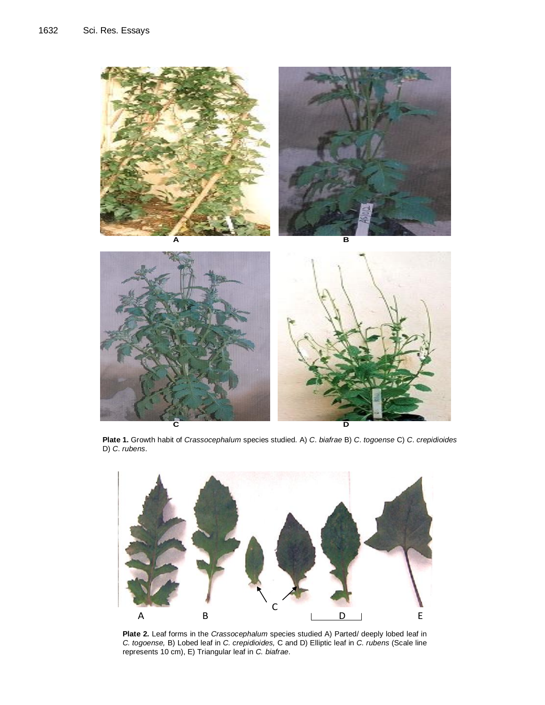

 D) *C*. *rubens*. **Plate 1.** Growth habit of *Crassocephalum* species studied. A) *C*. *biafrae* B) *C*. *togoense* C) *C*. *crepidioides*



Plate 2. Leaf forms in the *Crassocephalum* species studied A) Parted/ deeply lobed leaf in *C. togoense,* B) Lobed leaf in *C. crepidioides,* C and D) Elliptic leaf in *C. rubens* (Scale line represents 10 cm), E) Triangular leaf in *C. biafrae*.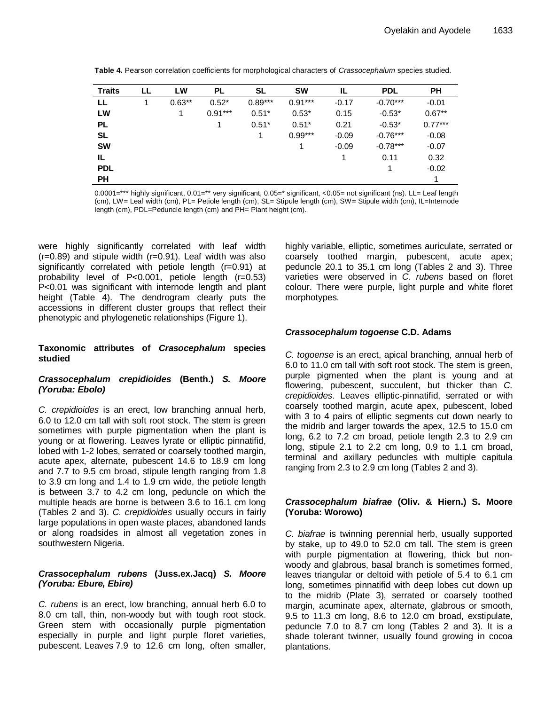| <b>Traits</b> | ᄔ | LW       | <b>PL</b> | SL        | <b>SW</b> | IL.     | <b>PDL</b> | <b>PH</b> |
|---------------|---|----------|-----------|-----------|-----------|---------|------------|-----------|
| LL.           |   | $0.63**$ | $0.52*$   | $0.89***$ | $0.91***$ | $-0.17$ | $-0.70***$ | $-0.01$   |
| LW            |   |          | $0.91***$ | $0.51*$   | $0.53*$   | 0.15    | $-0.53*$   | $0.67**$  |
| <b>PL</b>     |   |          |           | $0.51*$   | $0.51*$   | 0.21    | $-0.53*$   | $0.77***$ |
| <b>SL</b>     |   |          |           | 1         | $0.99***$ | $-0.09$ | $-0.76***$ | $-0.08$   |
| <b>SW</b>     |   |          |           |           | 1         | $-0.09$ | $-0.78***$ | $-0.07$   |
| IL.           |   |          |           |           |           |         | 0.11       | 0.32      |
| <b>PDL</b>    |   |          |           |           |           |         |            | $-0.02$   |
| <b>PH</b>     |   |          |           |           |           |         |            |           |

0.0001=\*\*\* highly significant, 0.01=\*\* very significant, 0.05=\* significant, <0.05= not significant (ns). LL= Leaf length (cm), LW= Leaf width (cm), PL= Petiole length (cm), SL= Stipule length (cm), SW= Stipule width (cm), IL=Internode length (cm), PDL=Peduncle length (cm) and PH= Plant height (cm).

were highly significantly correlated with leaf width  $(r=0.89)$  and stipule width  $(r=0.91)$ . Leaf width was also significantly correlated with petiole length (r=0.91) at probability level of P<0.001, petiole length (r=0.53) P<0.01 was significant with internode length and plant height (Table 4). The dendrogram clearly puts the accessions in different cluster groups that reflect their phenotypic and phylogenetic relationships (Figure 1).

#### **Taxonomic attributes of** *Crasocephalum* **species studied**

#### *Crassocephalum crepidioides* **(Benth.)** *S. Moore (Yoruba: Ebolo)*

*C. crepidioides* is an erect, low branching annual herb, 6.0 to 12.0 cm tall with soft root stock. The stem is green sometimes with purple pigmentation when the plant is young or at flowering. Leaves lyrate or elliptic pinnatifid, lobed with 1-2 lobes, serrated or coarsely toothed margin, acute apex, alternate, pubescent 14.6 to 18.9 cm long and 7.7 to 9.5 cm broad, stipule length ranging from 1.8 to 3.9 cm long and 1.4 to 1.9 cm wide, the petiole length is between 3.7 to 4.2 cm long, peduncle on which the multiple heads are borne is between 3.6 to 16.1 cm long (Tables 2 and 3). *C. crepidioides* usually occurs in fairly large populations in open waste places, abandoned lands or along roadsides in almost all vegetation zones in southwestern Nigeria.

#### *Crassocephalum rubens* **(Juss.ex.Jacq)** *S. Moore (Yoruba: Ebure, Ebire)*

*C. rubens* is an erect, low branching, annual herb 6.0 to 8.0 cm tall, thin, non-woody but with tough root stock. Green stem with occasionally purple pigmentation especially in purple and light purple floret varieties, pubescent. Leaves 7.9 to 12.6 cm long, often smaller, highly variable, elliptic, sometimes auriculate, serrated or coarsely toothed margin, pubescent, acute apex; peduncle 20.1 to 35.1 cm long (Tables 2 and 3). Three varieties were observed in *C. rubens* based on floret colour. There were purple, light purple and white floret morphotypes.

# *Crassocephalum togoense* **C.D. Adams**

*C. togoense* is an erect, apical branching, annual herb of 6.0 to 11.0 cm tall with soft root stock. The stem is green, purple pigmented when the plant is young and at flowering, pubescent, succulent, but thicker than *C. crepidioides*. Leaves elliptic-pinnatifid, serrated or with coarsely toothed margin, acute apex, pubescent, lobed with 3 to 4 pairs of elliptic segments cut down nearly to the midrib and larger towards the apex, 12.5 to 15.0 cm long, 6.2 to 7.2 cm broad, petiole length 2.3 to 2.9 cm long, stipule 2.1 to 2.2 cm long, 0.9 to 1.1 cm broad, terminal and axillary peduncles with multiple capitula ranging from 2.3 to 2.9 cm long (Tables 2 and 3).

# *Crassocephalum biafrae* **(Oliv. & Hiern.) S. Moore (Yoruba: Worowo)**

*C. biafrae* is twinning perennial herb, usually supported by stake, up to 49.0 to 52.0 cm tall. The stem is green with purple pigmentation at flowering, thick but nonwoody and glabrous, basal branch is sometimes formed, leaves triangular or deltoid with petiole of 5.4 to 6.1 cm long, sometimes pinnatifid with deep lobes cut down up to the midrib (Plate 3), serrated or coarsely toothed margin, acuminate apex, alternate, glabrous or smooth, 9.5 to 11.3 cm long, 8.6 to 12.0 cm broad, exstipulate, peduncle 7.0 to 8.7 cm long (Tables 2 and 3). It is a shade tolerant twinner, usually found growing in cocoa plantations.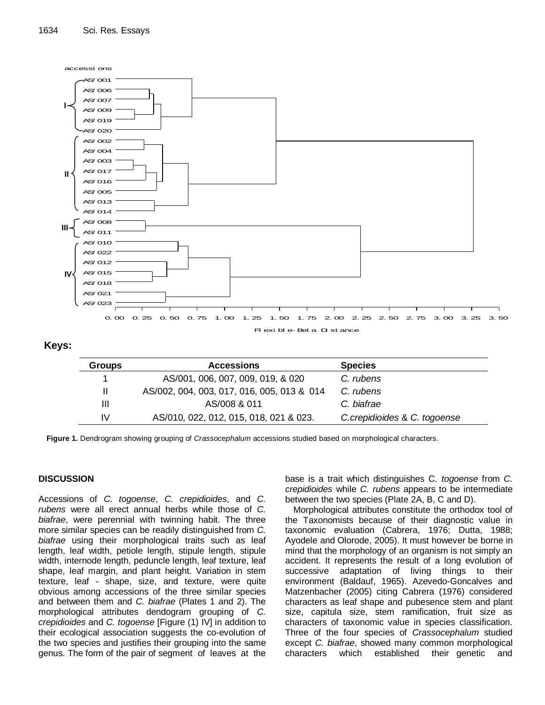

| <b>Groups</b> | <b>Accessions</b>                          | <b>Species</b>               |
|---------------|--------------------------------------------|------------------------------|
|               | AS/001, 006, 007, 009, 019, & 020          | C. rubens                    |
| Ш             | AS/002, 004, 003, 017, 016, 005, 013 & 014 | C. rubens                    |
| Ш             | AS/008 & 011                               | C. biafrae                   |
| IV.           | AS/010, 022, 012, 015, 018, 021 & 023.     | C.crepidioides & C. togoense |

**Figure 1.** Dendrogram showing grouping of *Crassocephalum* accessions studied based on morphological characters.

# **DISCUSSION**

Accessions of *C. togoense*, *C. crepidioides*, and *C. rubens* were all erect annual herbs while those of *C. biafrae*, were perennial with twinning habit. The three more similar species can be readily distinguished from *C. biafrae* using their morphological traits such as leaf length, leaf width, petiole length, stipule length, stipule width, internode length, peduncle length, leaf texture, leaf shape, leaf margin, and plant height. Variation in stem texture, leaf - shape, size, and texture, were quite obvious among accessions of the three similar species and between them and *C. biafrae* (Plates 1 and 2). The morphological attributes dendogram grouping of *C. crepidioides* and *C. togoense* [Figure (1) IV] in addition to their ecological association suggests the co-evolution of the two species and justifies their grouping into the same genus. The form of the pair of segment of leaves at the base is a trait which distinguishes C*. togoense* from *C. crepidioides* while *C. rubens* appears to be intermediate between the two species (Plate 2A, B, C and D).

Morphological attributes constitute the orthodox tool of the Taxonomists because of their diagnostic value in taxonomic evaluation (Cabrera, 1976; Dutta, 1988; Ayodele and Olorode, 2005). It must however be borne in mind that the morphology of an organism is not simply an accident. It represents the result of a long evolution of successive adaptation of living things to their environment (Baldauf, 1965). Azevedo-Goncalves and Matzenbacher (2005) citing Cabrera (1976) considered characters as leaf shape and pubesence stem and plant size, capitula size, stem ramification, fruit size as characters of taxonomic value in species classification. Three of the four species of *Crassocephalum* studied except *C. biafrae*, showed many common morphological characters which established their genetic and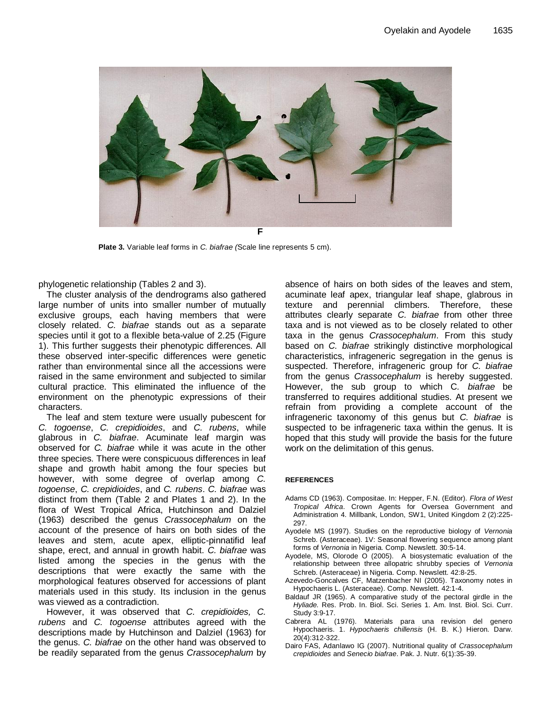

**Plate 3.** Variable leaf forms in *C. biafrae (*Scale line represents 5 cm).

phylogenetic relationship (Tables 2 and 3).

The cluster analysis of the dendrograms also gathered large number of units into smaller number of mutually exclusive groups, each having members that were closely related. *C. biafrae* stands out as a separate species until it got to a flexible beta-value of 2.25 (Figure 1). This further suggests their phenotypic differences. All these observed inter-specific differences were genetic rather than environmental since all the accessions were raised in the same environment and subjected to similar cultural practice. This eliminated the influence of the environment on the phenotypic expressions of their characters.

The leaf and stem texture were usually pubescent for *C. togoense*, *C. crepidioides*, and *C. rubens*, while glabrous in *C. biafrae*. Acuminate leaf margin was observed for *C. biafrae* while it was acute in the other three species. There were conspicuous differences in leaf shape and growth habit among the four species but however, with some degree of overlap among *C. togoense*, *C. crepidioides*, and *C. rubens*. *C. biafrae* was distinct from them (Table 2 and Plates 1 and 2). In the flora of West Tropical Africa, Hutchinson and Dalziel (1963) described the genus *Crassocephalum* on the account of the presence of hairs on both sides of the leaves and stem, acute apex, elliptic-pinnatifid leaf shape, erect, and annual in growth habit. *C. biafrae* was listed among the species in the genus with the descriptions that were exactly the same with the morphological features observed for accessions of plant materials used in this study. Its inclusion in the genus was viewed as a contradiction.

However, it was observed that *C. crepidioides, C. rubens* and *C. togoense* attributes agreed with the descriptions made by Hutchinson and Dalziel (1963) for the genus. *C. biafrae* on the other hand was observed to be readily separated from the genus *Crassocephalum* by absence of hairs on both sides of the leaves and stem, acuminate leaf apex, triangular leaf shape, glabrous in texture and perennial climbers. Therefore, these attributes clearly separate *C. biafrae* from other three taxa and is not viewed as to be closely related to other taxa in the genus *Crassocephalum*. From this study based on *C. biafrae* strikingly distinctive morphological characteristics, infrageneric segregation in the genus is suspected. Therefore, infrageneric group for *C. biafrae* from the genus *Crassocephalum* is hereby suggested. However, the sub group to which C*. biafrae* be transferred to requires additional studies. At present we refrain from providing a complete account of the infrageneric taxonomy of this genus but *C. biafrae* is suspected to be infrageneric taxa within the genus. It is hoped that this study will provide the basis for the future work on the delimitation of this genus.

#### **REFERENCES**

- Adams CD (1963). Compositae. In: Hepper, F.N. (Editor). *Flora of West Tropical Africa*. Crown Agents for Oversea Government and Administration 4. Millbank, London, SW1, United Kingdom 2 (2):225- 297.
- Ayodele MS (1997). Studies on the reproductive biology of *Vernonia*  Schreb. (Asteraceae). 1V: Seasonal flowering sequence among plant forms of *Vernonia* in Nigeria. Comp. Newslett. 30:5-14.
- Ayodele, MS, Olorode O (2005). A biosystematic evaluation of the relationship between three allopatric shrubby species of *Vernonia*  Schreb. (Asteraceae) in Nigeria. Comp. Newslett. 42:8-25.
- Azevedo-Goncalves CF, Matzenbacher NI (2005). Taxonomy notes in Hypochaeris L. (Asteraceae). Comp. Newslett. 42:1-4.
- Baldauf JR (1965). A comparative study of the pectoral girdle in the *Hyliade.* Res. Prob. In. Biol. Sci. Series 1. Am. Inst. Biol. Sci. Curr. Study 3:9-17.
- Cabrera AL (1976). Materials para una revision del genero Hypochaeris. 1. *Hypochaeris chillensis* (H. B. K.) Hieron. Darw. 20(4):312-322.
- Dairo FAS, Adanlawo IG (2007). Nutritional quality of *Crassocephalum crepidioides* and *Senecio biafrae*. Pak. J. Nutr. 6(1):35-39.